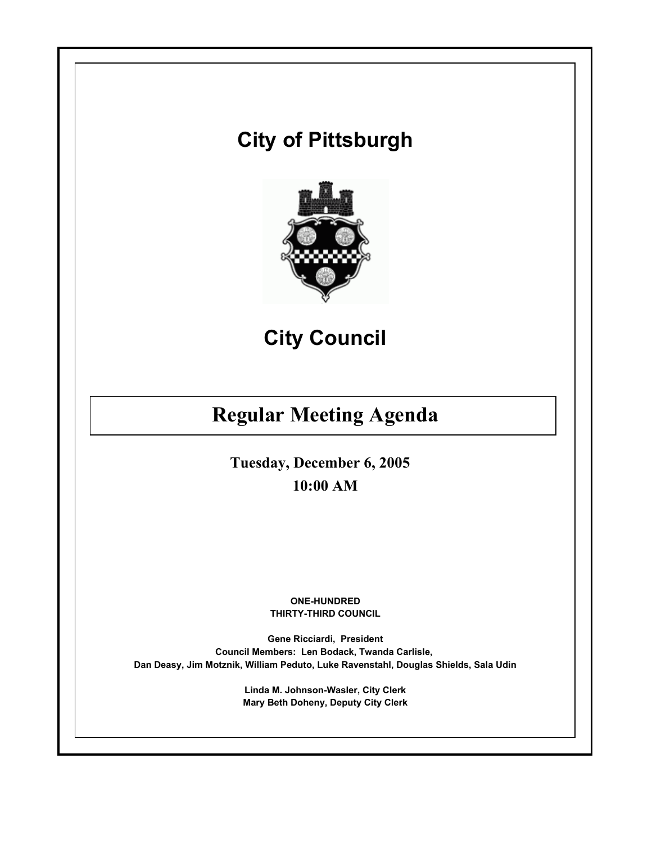# **City of Pittsburgh**



**City Council**

# **Regular Meeting Agenda**

**Tuesday, December 6, 2005 10:00 AM**

> **ONE-HUNDRED THIRTY-THIRD COUNCIL**

**Gene Ricciardi, President Council Members: Len Bodack, Twanda Carlisle, Dan Deasy, Jim Motznik, William Peduto, Luke Ravenstahl, Douglas Shields, Sala Udin**

> **Linda M. Johnson-Wasler, City Clerk Mary Beth Doheny, Deputy City Clerk**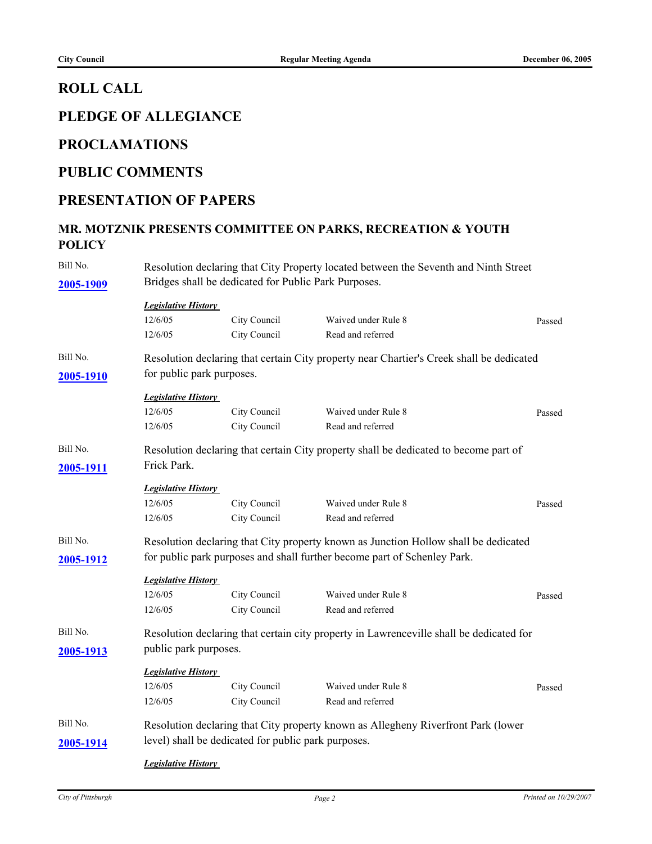#### **ROLL CALL**

## **PLEDGE OF ALLEGIANCE**

#### **PROCLAMATIONS**

#### **PUBLIC COMMENTS**

#### **PRESENTATION OF PAPERS**

# **MR. MOTZNIK PRESENTS COMMITTEE ON PARKS, RECREATION & YOUTH POLICY**

| Bill No.  | Resolution declaring that City Property located between the Seventh and Ninth Street |                                                     |                                                                                          |        |  |  |  |  |
|-----------|--------------------------------------------------------------------------------------|-----------------------------------------------------|------------------------------------------------------------------------------------------|--------|--|--|--|--|
| 2005-1909 | Bridges shall be dedicated for Public Park Purposes.                                 |                                                     |                                                                                          |        |  |  |  |  |
|           |                                                                                      | <b>Legislative History</b>                          |                                                                                          |        |  |  |  |  |
|           | 12/6/05                                                                              | City Council                                        | Waived under Rule 8                                                                      | Passed |  |  |  |  |
|           | 12/6/05                                                                              | City Council                                        | Read and referred                                                                        |        |  |  |  |  |
| Bill No.  |                                                                                      |                                                     | Resolution declaring that certain City property near Chartier's Creek shall be dedicated |        |  |  |  |  |
| 2005-1910 | for public park purposes.                                                            |                                                     |                                                                                          |        |  |  |  |  |
|           | <b>Legislative History</b>                                                           |                                                     |                                                                                          |        |  |  |  |  |
|           | 12/6/05                                                                              | City Council                                        | Waived under Rule 8                                                                      | Passed |  |  |  |  |
|           | 12/6/05                                                                              | City Council                                        | Read and referred                                                                        |        |  |  |  |  |
| Bill No.  |                                                                                      |                                                     | Resolution declaring that certain City property shall be dedicated to become part of     |        |  |  |  |  |
| 2005-1911 | Frick Park.                                                                          |                                                     |                                                                                          |        |  |  |  |  |
|           | <b>Legislative History</b>                                                           |                                                     |                                                                                          |        |  |  |  |  |
|           | 12/6/05                                                                              | City Council                                        | Waived under Rule 8                                                                      | Passed |  |  |  |  |
|           | 12/6/05                                                                              | City Council                                        | Read and referred                                                                        |        |  |  |  |  |
| Bill No.  |                                                                                      |                                                     | Resolution declaring that City property known as Junction Hollow shall be dedicated      |        |  |  |  |  |
| 2005-1912 |                                                                                      |                                                     | for public park purposes and shall further become part of Schenley Park.                 |        |  |  |  |  |
|           | <b>Legislative History</b>                                                           |                                                     |                                                                                          |        |  |  |  |  |
|           | 12/6/05                                                                              | City Council                                        | Waived under Rule 8                                                                      | Passed |  |  |  |  |
|           | 12/6/05                                                                              | City Council                                        | Read and referred                                                                        |        |  |  |  |  |
| Bill No.  |                                                                                      |                                                     | Resolution declaring that certain city property in Lawrenceville shall be dedicated for  |        |  |  |  |  |
| 2005-1913 | public park purposes.                                                                |                                                     |                                                                                          |        |  |  |  |  |
|           | <b>Legislative History</b>                                                           |                                                     |                                                                                          |        |  |  |  |  |
|           | 12/6/05                                                                              | City Council                                        | Waived under Rule 8                                                                      | Passed |  |  |  |  |
|           | 12/6/05                                                                              | City Council                                        | Read and referred                                                                        |        |  |  |  |  |
| Bill No.  |                                                                                      |                                                     | Resolution declaring that City property known as Allegheny Riverfront Park (lower        |        |  |  |  |  |
| 2005-1914 |                                                                                      | level) shall be dedicated for public park purposes. |                                                                                          |        |  |  |  |  |
|           |                                                                                      | <b>Legislative History</b>                          |                                                                                          |        |  |  |  |  |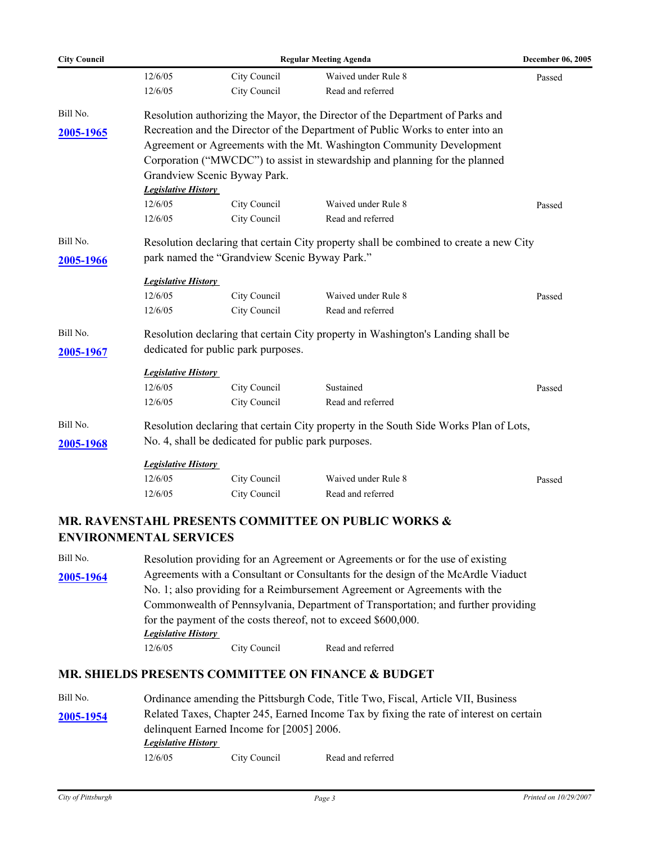| <b>City Council</b> | <b>Regular Meeting Agenda</b> |                                                     |                                                                                        | December 06, 2005 |  |  |
|---------------------|-------------------------------|-----------------------------------------------------|----------------------------------------------------------------------------------------|-------------------|--|--|
|                     | 12/6/05                       | City Council                                        | Waived under Rule 8                                                                    | Passed            |  |  |
|                     | 12/6/05                       | City Council                                        | Read and referred                                                                      |                   |  |  |
| Bill No.            |                               |                                                     | Resolution authorizing the Mayor, the Director of the Department of Parks and          |                   |  |  |
| 2005-1965           |                               |                                                     | Recreation and the Director of the Department of Public Works to enter into an         |                   |  |  |
|                     |                               |                                                     | Agreement or Agreements with the Mt. Washington Community Development                  |                   |  |  |
|                     |                               |                                                     | Corporation ("MWCDC") to assist in stewardship and planning for the planned            |                   |  |  |
|                     |                               | Grandview Scenic Byway Park.                        |                                                                                        |                   |  |  |
|                     | <b>Legislative History</b>    |                                                     |                                                                                        |                   |  |  |
|                     | 12/6/05                       | City Council                                        | Waived under Rule 8                                                                    | Passed            |  |  |
|                     | 12/6/05                       | City Council                                        | Read and referred                                                                      |                   |  |  |
| Bill No.            |                               |                                                     | Resolution declaring that certain City property shall be combined to create a new City |                   |  |  |
| 2005-1966           |                               | park named the "Grandview Scenic Byway Park."       |                                                                                        |                   |  |  |
|                     | <b>Legislative History</b>    |                                                     |                                                                                        |                   |  |  |
|                     | 12/6/05                       | City Council                                        | Waived under Rule 8                                                                    | Passed            |  |  |
|                     | 12/6/05                       | City Council                                        | Read and referred                                                                      |                   |  |  |
| Bill No.            |                               |                                                     | Resolution declaring that certain City property in Washington's Landing shall be       |                   |  |  |
| 2005-1967           |                               | dedicated for public park purposes.                 |                                                                                        |                   |  |  |
|                     | <b>Legislative History</b>    |                                                     |                                                                                        |                   |  |  |
|                     | 12/6/05                       | City Council                                        | Sustained                                                                              | Passed            |  |  |
|                     | 12/6/05                       | City Council                                        | Read and referred                                                                      |                   |  |  |
| Bill No.            |                               |                                                     | Resolution declaring that certain City property in the South Side Works Plan of Lots,  |                   |  |  |
| 2005-1968           |                               | No. 4, shall be dedicated for public park purposes. |                                                                                        |                   |  |  |
|                     | <b>Legislative History</b>    |                                                     |                                                                                        |                   |  |  |
|                     | 12/6/05                       | City Council                                        | Waived under Rule 8                                                                    | Passed            |  |  |
|                     | 12/6/05                       | City Council                                        | Read and referred                                                                      |                   |  |  |

#### **MR. RAVENSTAHL PRESENTS COMMITTEE ON PUBLIC WORKS & ENVIRONMENTAL SERVICES**

| Bill No.  | Resolution providing for an Agreement or Agreements or for the use of existing    |              |                   |  |  |  |
|-----------|-----------------------------------------------------------------------------------|--------------|-------------------|--|--|--|
| 2005-1964 | Agreements with a Consultant or Consultants for the design of the McArdle Viaduct |              |                   |  |  |  |
|           | No. 1; also providing for a Reimbursement Agreement or Agreements with the        |              |                   |  |  |  |
|           | Commonwealth of Pennsylvania, Department of Transportation; and further providing |              |                   |  |  |  |
|           | for the payment of the costs thereof, not to exceed \$600,000.                    |              |                   |  |  |  |
|           | <b>Legislative History</b>                                                        |              |                   |  |  |  |
|           | 12/6/05                                                                           | City Council | Read and referred |  |  |  |
|           |                                                                                   |              |                   |  |  |  |

#### **MR. SHIELDS PRESENTS COMMITTEE ON FINANCE & BUDGET**

| Bill No.  |                                                                                         |              | Ordinance amending the Pittsburgh Code, Title Two, Fiscal, Article VII, Business |  |  |  |
|-----------|-----------------------------------------------------------------------------------------|--------------|----------------------------------------------------------------------------------|--|--|--|
| 2005-1954 | Related Taxes, Chapter 245, Earned Income Tax by fixing the rate of interest on certain |              |                                                                                  |  |  |  |
|           | delinquent Earned Income for [2005] 2006.                                               |              |                                                                                  |  |  |  |
|           | <b>Legislative History</b>                                                              |              |                                                                                  |  |  |  |
|           | 12/6/05                                                                                 | City Council | Read and referred                                                                |  |  |  |
|           |                                                                                         |              |                                                                                  |  |  |  |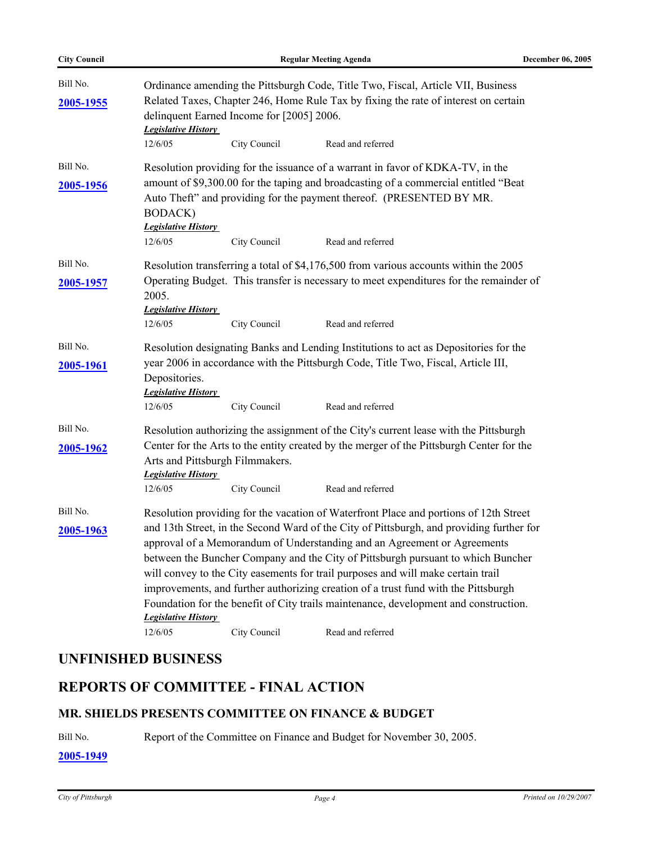| <b>City Council</b>   |                                                                                                                                                                                                                      |                                                                                                                                                                                                                                                           | <b>Regular Meeting Agenda</b>                                                                                                                                                                                                                                                                                                                                                                                                                                                                                              | <b>December 06, 2005</b> |  |  |  |
|-----------------------|----------------------------------------------------------------------------------------------------------------------------------------------------------------------------------------------------------------------|-----------------------------------------------------------------------------------------------------------------------------------------------------------------------------------------------------------------------------------------------------------|----------------------------------------------------------------------------------------------------------------------------------------------------------------------------------------------------------------------------------------------------------------------------------------------------------------------------------------------------------------------------------------------------------------------------------------------------------------------------------------------------------------------------|--------------------------|--|--|--|
| Bill No.<br>2005-1955 | Ordinance amending the Pittsburgh Code, Title Two, Fiscal, Article VII, Business<br>Related Taxes, Chapter 246, Home Rule Tax by fixing the rate of interest on certain<br>delinquent Earned Income for [2005] 2006. |                                                                                                                                                                                                                                                           |                                                                                                                                                                                                                                                                                                                                                                                                                                                                                                                            |                          |  |  |  |
|                       | <b>Legislative History</b><br>12/6/05                                                                                                                                                                                | City Council                                                                                                                                                                                                                                              | Read and referred                                                                                                                                                                                                                                                                                                                                                                                                                                                                                                          |                          |  |  |  |
| Bill No.              |                                                                                                                                                                                                                      |                                                                                                                                                                                                                                                           | Resolution providing for the issuance of a warrant in favor of KDKA-TV, in the                                                                                                                                                                                                                                                                                                                                                                                                                                             |                          |  |  |  |
| 2005-1956             | <b>BODACK</b> )<br><b>Legislative History</b>                                                                                                                                                                        |                                                                                                                                                                                                                                                           | amount of \$9,300.00 for the taping and broadcasting of a commercial entitled "Beat<br>Auto Theft" and providing for the payment thereof. (PRESENTED BY MR.                                                                                                                                                                                                                                                                                                                                                                |                          |  |  |  |
|                       | 12/6/05                                                                                                                                                                                                              | City Council                                                                                                                                                                                                                                              | Read and referred                                                                                                                                                                                                                                                                                                                                                                                                                                                                                                          |                          |  |  |  |
| Bill No.<br>2005-1957 | 2005.<br><b>Legislative History</b><br>12/6/05                                                                                                                                                                       | Resolution transferring a total of \$4,176,500 from various accounts within the 2005<br>Operating Budget. This transfer is necessary to meet expenditures for the remainder of                                                                            |                                                                                                                                                                                                                                                                                                                                                                                                                                                                                                                            |                          |  |  |  |
|                       |                                                                                                                                                                                                                      | City Council                                                                                                                                                                                                                                              | Read and referred                                                                                                                                                                                                                                                                                                                                                                                                                                                                                                          |                          |  |  |  |
| Bill No.<br>2005-1961 | Depositories.<br><b>Legislative History</b><br>12/6/05                                                                                                                                                               | City Council                                                                                                                                                                                                                                              | Resolution designating Banks and Lending Institutions to act as Depositories for the<br>year 2006 in accordance with the Pittsburgh Code, Title Two, Fiscal, Article III,<br>Read and referred                                                                                                                                                                                                                                                                                                                             |                          |  |  |  |
| Bill No.              |                                                                                                                                                                                                                      |                                                                                                                                                                                                                                                           |                                                                                                                                                                                                                                                                                                                                                                                                                                                                                                                            |                          |  |  |  |
| 2005-1962             | <b>Legislative History</b><br>12/6/05                                                                                                                                                                                | Resolution authorizing the assignment of the City's current lease with the Pittsburgh<br>Center for the Arts to the entity created by the merger of the Pittsburgh Center for the<br>Arts and Pittsburgh Filmmakers.<br>City Council<br>Read and referred |                                                                                                                                                                                                                                                                                                                                                                                                                                                                                                                            |                          |  |  |  |
| Bill No.              |                                                                                                                                                                                                                      |                                                                                                                                                                                                                                                           | Resolution providing for the vacation of Waterfront Place and portions of 12th Street                                                                                                                                                                                                                                                                                                                                                                                                                                      |                          |  |  |  |
| 2005-1963             | <b>Legislative History</b>                                                                                                                                                                                           |                                                                                                                                                                                                                                                           | and 13th Street, in the Second Ward of the City of Pittsburgh, and providing further for<br>approval of a Memorandum of Understanding and an Agreement or Agreements<br>between the Buncher Company and the City of Pittsburgh pursuant to which Buncher<br>will convey to the City easements for trail purposes and will make certain trail<br>improvements, and further authorizing creation of a trust fund with the Pittsburgh<br>Foundation for the benefit of City trails maintenance, development and construction. |                          |  |  |  |
|                       | 12/6/05                                                                                                                                                                                                              | City Council                                                                                                                                                                                                                                              | Read and referred                                                                                                                                                                                                                                                                                                                                                                                                                                                                                                          |                          |  |  |  |

# **UNFINISHED BUSINESS**

# **REPORTS OF COMMITTEE - FINAL ACTION**

#### **MR. SHIELDS PRESENTS COMMITTEE ON FINANCE & BUDGET**

Bill No. Report of the Committee on Finance and Budget for November 30, 2005.

**[2005-1949](http://legistar.city.pittsburgh.pa.us/detailreport//matter.aspx?key=8030)**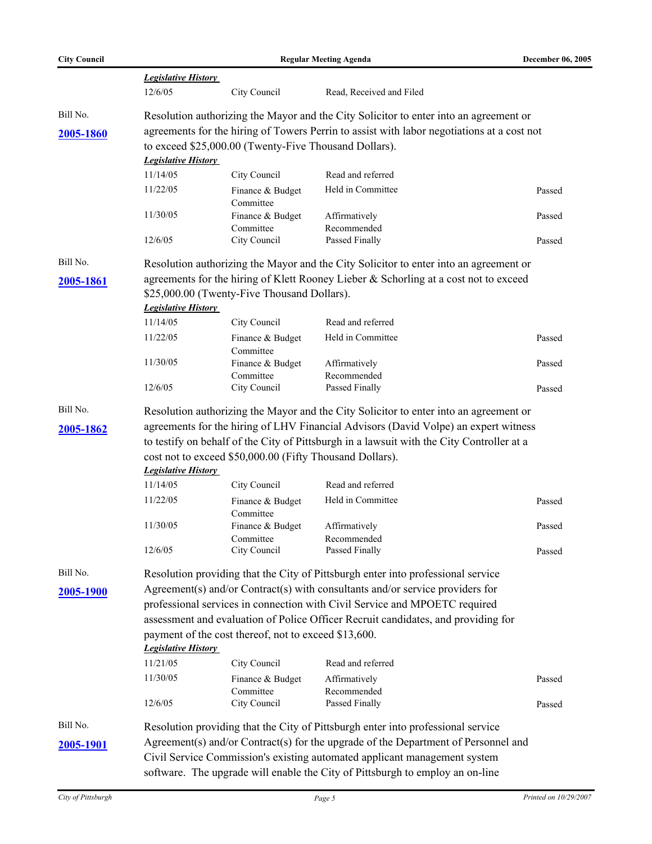| <b>City Council</b> | <b>Regular Meeting Agenda</b>                                                             |                                                       |                                                                                            | <b>December 06, 2005</b> |  |  |
|---------------------|-------------------------------------------------------------------------------------------|-------------------------------------------------------|--------------------------------------------------------------------------------------------|--------------------------|--|--|
|                     | <b>Legislative History</b>                                                                |                                                       |                                                                                            |                          |  |  |
|                     | 12/6/05                                                                                   | City Council                                          | Read, Received and Filed                                                                   |                          |  |  |
| Bill No.            |                                                                                           |                                                       | Resolution authorizing the Mayor and the City Solicitor to enter into an agreement or      |                          |  |  |
| 2005-1860           |                                                                                           |                                                       | agreements for the hiring of Towers Perrin to assist with labor negotiations at a cost not |                          |  |  |
|                     |                                                                                           | to exceed \$25,000.00 (Twenty-Five Thousand Dollars). |                                                                                            |                          |  |  |
|                     | <b>Legislative History</b>                                                                |                                                       |                                                                                            |                          |  |  |
|                     | 11/14/05                                                                                  | City Council                                          | Read and referred                                                                          |                          |  |  |
|                     | 11/22/05                                                                                  | Finance & Budget<br>Committee                         | Held in Committee                                                                          | Passed                   |  |  |
|                     | 11/30/05                                                                                  | Finance & Budget                                      | Affirmatively                                                                              | Passed                   |  |  |
|                     | 12/6/05                                                                                   | Committee<br>City Council                             | Recommended<br>Passed Finally                                                              |                          |  |  |
|                     |                                                                                           |                                                       |                                                                                            | Passed                   |  |  |
| Bill No.            |                                                                                           |                                                       | Resolution authorizing the Mayor and the City Solicitor to enter into an agreement or      |                          |  |  |
| 2005-1861           |                                                                                           |                                                       | agreements for the hiring of Klett Rooney Lieber & Schorling at a cost not to exceed       |                          |  |  |
|                     |                                                                                           | \$25,000.00 (Twenty-Five Thousand Dollars).           |                                                                                            |                          |  |  |
|                     | <b>Legislative History</b>                                                                |                                                       |                                                                                            |                          |  |  |
|                     | 11/14/05                                                                                  | City Council                                          | Read and referred                                                                          |                          |  |  |
|                     | 11/22/05                                                                                  | Finance & Budget<br>Committee                         | Held in Committee                                                                          | Passed                   |  |  |
|                     | 11/30/05                                                                                  | Finance & Budget                                      | Affirmatively                                                                              | Passed                   |  |  |
|                     | 12/6/05                                                                                   | Committee<br>City Council                             | Recommended<br>Passed Finally                                                              | Passed                   |  |  |
| Bill No.            |                                                                                           |                                                       | Resolution authorizing the Mayor and the City Solicitor to enter into an agreement or      |                          |  |  |
| 2005-1862           |                                                                                           |                                                       | agreements for the hiring of LHV Financial Advisors (David Volpe) an expert witness        |                          |  |  |
|                     | to testify on behalf of the City of Pittsburgh in a lawsuit with the City Controller at a |                                                       |                                                                                            |                          |  |  |
|                     | cost not to exceed \$50,000.00 (Fifty Thousand Dollars).                                  |                                                       |                                                                                            |                          |  |  |
|                     | <b>Legislative History</b>                                                                |                                                       |                                                                                            |                          |  |  |
|                     | 11/14/05                                                                                  | City Council                                          | Read and referred                                                                          |                          |  |  |
|                     | 11/22/05                                                                                  | Finance & Budget<br>Committee                         | Held in Committee                                                                          | Passed                   |  |  |
|                     | 11/30/05                                                                                  | Finance & Budget                                      | Affirmatively                                                                              | Passed                   |  |  |
|                     | 12/6/05                                                                                   | Committee<br>City Council                             | Recommended<br>Passed Finally                                                              | Passed                   |  |  |
| Bill No.            |                                                                                           |                                                       | Resolution providing that the City of Pittsburgh enter into professional service           |                          |  |  |
| 2005-1900           |                                                                                           |                                                       | Agreement(s) and/or Contract(s) with consultants and/or service providers for              |                          |  |  |
|                     | professional services in connection with Civil Service and MPOETC required                |                                                       |                                                                                            |                          |  |  |
|                     | assessment and evaluation of Police Officer Recruit candidates, and providing for         |                                                       |                                                                                            |                          |  |  |
|                     | payment of the cost thereof, not to exceed \$13,600.<br><b>Legislative History</b>        |                                                       |                                                                                            |                          |  |  |
|                     | 11/21/05                                                                                  | City Council                                          | Read and referred                                                                          |                          |  |  |
|                     | 11/30/05                                                                                  | Finance & Budget                                      | Affirmatively                                                                              | Passed                   |  |  |
|                     | 12/6/05                                                                                   | Committee<br>City Council                             | Recommended<br>Passed Finally                                                              | Passed                   |  |  |
| Bill No.            |                                                                                           |                                                       | Resolution providing that the City of Pittsburgh enter into professional service           |                          |  |  |
|                     |                                                                                           |                                                       | Agreement(s) and/or Contract(s) for the upgrade of the Department of Personnel and         |                          |  |  |
| 2005-1901           |                                                                                           |                                                       | Civil Service Commission's existing automated applicant management system                  |                          |  |  |
|                     |                                                                                           |                                                       | software. The upgrade will enable the City of Pittsburgh to employ an on-line              |                          |  |  |
|                     |                                                                                           |                                                       |                                                                                            |                          |  |  |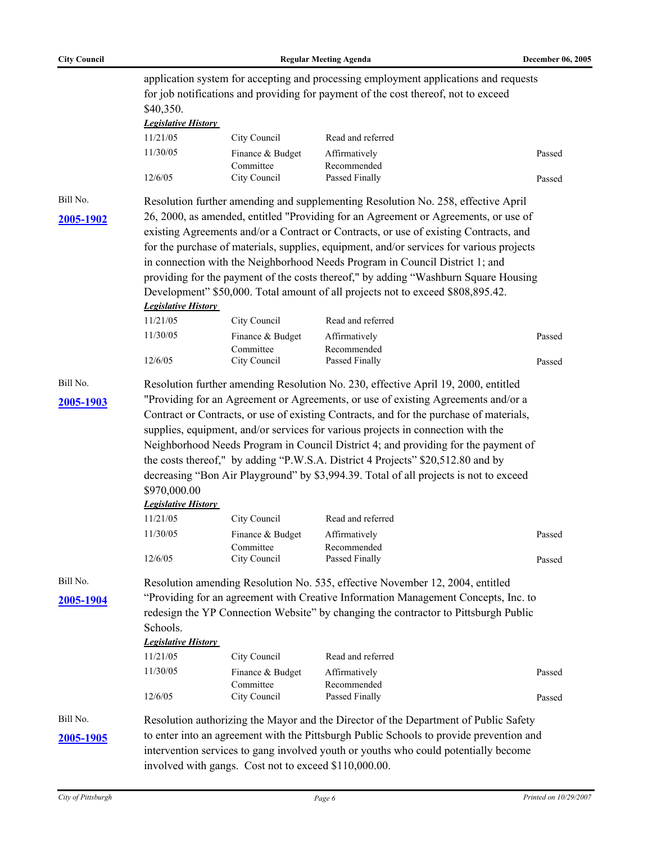| <b>City Council</b> | <b>Regular Meeting Agenda</b>                                                                                                                                              |                               |                                                                                                                                                                        | December 06, 2005 |  |  |  |
|---------------------|----------------------------------------------------------------------------------------------------------------------------------------------------------------------------|-------------------------------|------------------------------------------------------------------------------------------------------------------------------------------------------------------------|-------------------|--|--|--|
|                     | application system for accepting and processing employment applications and requests<br>for job notifications and providing for payment of the cost thereof, not to exceed |                               |                                                                                                                                                                        |                   |  |  |  |
|                     | \$40,350.                                                                                                                                                                  | <b>Legislative History</b>    |                                                                                                                                                                        |                   |  |  |  |
|                     | 11/21/05                                                                                                                                                                   | City Council                  | Read and referred                                                                                                                                                      |                   |  |  |  |
|                     | 11/30/05                                                                                                                                                                   | Finance & Budget<br>Committee | Affirmatively<br>Recommended                                                                                                                                           | Passed            |  |  |  |
|                     | 12/6/05                                                                                                                                                                    | City Council                  | Passed Finally                                                                                                                                                         | Passed            |  |  |  |
| Bill No.            |                                                                                                                                                                            |                               | Resolution further amending and supplementing Resolution No. 258, effective April                                                                                      |                   |  |  |  |
| 2005-1902           |                                                                                                                                                                            |                               | 26, 2000, as amended, entitled "Providing for an Agreement or Agreements, or use of                                                                                    |                   |  |  |  |
|                     |                                                                                                                                                                            |                               | existing Agreements and/or a Contract or Contracts, or use of existing Contracts, and                                                                                  |                   |  |  |  |
|                     |                                                                                                                                                                            |                               | for the purchase of materials, supplies, equipment, and/or services for various projects                                                                               |                   |  |  |  |
|                     |                                                                                                                                                                            |                               | in connection with the Neighborhood Needs Program in Council District 1; and                                                                                           |                   |  |  |  |
|                     | <b>Legislative History</b>                                                                                                                                                 |                               | providing for the payment of the costs thereof," by adding "Washburn Square Housing<br>Development" \$50,000. Total amount of all projects not to exceed \$808,895.42. |                   |  |  |  |
|                     | 11/21/05                                                                                                                                                                   | City Council                  | Read and referred                                                                                                                                                      |                   |  |  |  |
|                     | 11/30/05                                                                                                                                                                   | Finance & Budget              | Affirmatively                                                                                                                                                          | Passed            |  |  |  |
|                     |                                                                                                                                                                            | Committee                     | Recommended                                                                                                                                                            |                   |  |  |  |
|                     | 12/6/05                                                                                                                                                                    | City Council                  | Passed Finally                                                                                                                                                         | Passed            |  |  |  |
| Bill No.            |                                                                                                                                                                            |                               | Resolution further amending Resolution No. 230, effective April 19, 2000, entitled                                                                                     |                   |  |  |  |
| 2005-1903           | "Providing for an Agreement or Agreements, or use of existing Agreements and/or a                                                                                          |                               |                                                                                                                                                                        |                   |  |  |  |
|                     |                                                                                                                                                                            |                               | Contract or Contracts, or use of existing Contracts, and for the purchase of materials,                                                                                |                   |  |  |  |
|                     | supplies, equipment, and/or services for various projects in connection with the                                                                                           |                               |                                                                                                                                                                        |                   |  |  |  |
|                     |                                                                                                                                                                            |                               | Neighborhood Needs Program in Council District 4; and providing for the payment of                                                                                     |                   |  |  |  |
|                     | the costs thereof," by adding "P.W.S.A. District 4 Projects" \$20,512.80 and by                                                                                            |                               |                                                                                                                                                                        |                   |  |  |  |
|                     | decreasing "Bon Air Playground" by \$3,994.39. Total of all projects is not to exceed                                                                                      |                               |                                                                                                                                                                        |                   |  |  |  |
|                     | \$970,000.00                                                                                                                                                               |                               |                                                                                                                                                                        |                   |  |  |  |
|                     | <b>Legislative History</b>                                                                                                                                                 |                               |                                                                                                                                                                        |                   |  |  |  |
|                     | 11/21/05                                                                                                                                                                   | City Council                  | Read and referred                                                                                                                                                      |                   |  |  |  |
|                     | 11/30/05                                                                                                                                                                   | Finance & Budget<br>Committee | Affirmatively<br>Recommended                                                                                                                                           | Passed            |  |  |  |
|                     | 12/6/05                                                                                                                                                                    | City Council                  | Passed Finally                                                                                                                                                         | Passed            |  |  |  |
| Bill No.            |                                                                                                                                                                            |                               | Resolution amending Resolution No. 535, effective November 12, 2004, entitled                                                                                          |                   |  |  |  |
| 2005-1904           |                                                                                                                                                                            |                               | "Providing for an agreement with Creative Information Management Concepts, Inc. to                                                                                     |                   |  |  |  |
|                     | redesign the YP Connection Website" by changing the contractor to Pittsburgh Public                                                                                        |                               |                                                                                                                                                                        |                   |  |  |  |
|                     | Schools.                                                                                                                                                                   |                               |                                                                                                                                                                        |                   |  |  |  |
|                     | <b>Legislative History</b>                                                                                                                                                 |                               |                                                                                                                                                                        |                   |  |  |  |
|                     | 11/21/05                                                                                                                                                                   | City Council                  | Read and referred                                                                                                                                                      |                   |  |  |  |
|                     | 11/30/05                                                                                                                                                                   | Finance & Budget              | Affirmatively                                                                                                                                                          | Passed            |  |  |  |
|                     | 12/6/05                                                                                                                                                                    | Committee<br>City Council     | Recommended<br>Passed Finally                                                                                                                                          | Passed            |  |  |  |
| Bill No.            |                                                                                                                                                                            |                               | Resolution authorizing the Mayor and the Director of the Department of Public Safety                                                                                   |                   |  |  |  |
| 2005-1905           |                                                                                                                                                                            |                               | to enter into an agreement with the Pittsburgh Public Schools to provide prevention and                                                                                |                   |  |  |  |
|                     |                                                                                                                                                                            |                               | intervention services to gang involved youth or youths who could potentially become                                                                                    |                   |  |  |  |
|                     | involved with gangs. Cost not to exceed \$110,000.00.                                                                                                                      |                               |                                                                                                                                                                        |                   |  |  |  |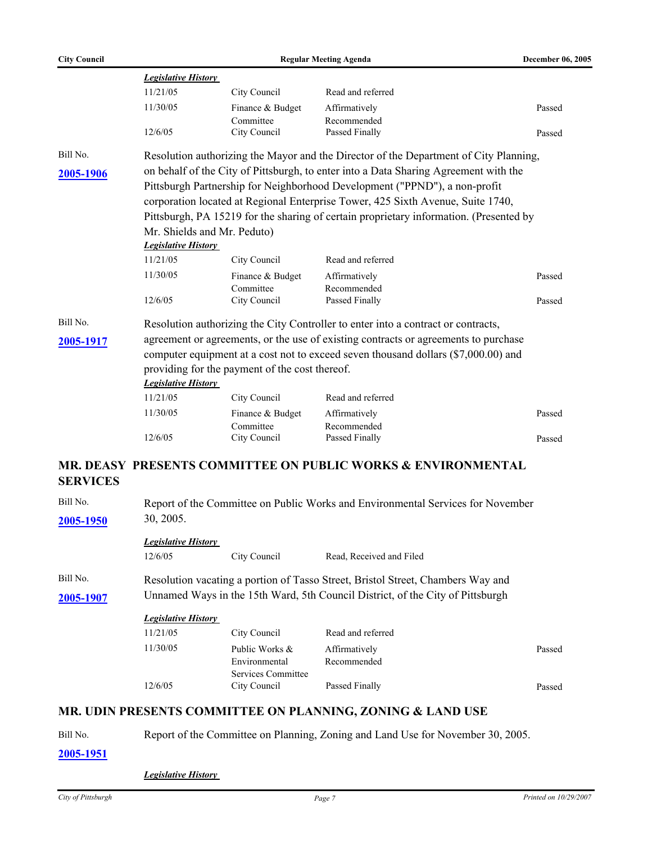|           | <b>Legislative History</b>                                                           |                                                                                    |                                                                                        |        |  |  |  |  |
|-----------|--------------------------------------------------------------------------------------|------------------------------------------------------------------------------------|----------------------------------------------------------------------------------------|--------|--|--|--|--|
|           | 11/21/05                                                                             | City Council                                                                       | Read and referred                                                                      |        |  |  |  |  |
|           | 11/30/05                                                                             | Finance & Budget                                                                   | Affirmatively                                                                          | Passed |  |  |  |  |
|           | 12/6/05                                                                              | Committee<br>City Council                                                          | Recommended<br>Passed Finally                                                          | Passed |  |  |  |  |
| Bill No.  |                                                                                      |                                                                                    | Resolution authorizing the Mayor and the Director of the Department of City Planning,  |        |  |  |  |  |
| 2005-1906 | on behalf of the City of Pittsburgh, to enter into a Data Sharing Agreement with the |                                                                                    |                                                                                        |        |  |  |  |  |
|           |                                                                                      |                                                                                    | Pittsburgh Partnership for Neighborhood Development ("PPND"), a non-profit             |        |  |  |  |  |
|           |                                                                                      |                                                                                    | corporation located at Regional Enterprise Tower, 425 Sixth Avenue, Suite 1740,        |        |  |  |  |  |
|           |                                                                                      |                                                                                    | Pittsburgh, PA 15219 for the sharing of certain proprietary information. (Presented by |        |  |  |  |  |
|           |                                                                                      | Mr. Shields and Mr. Peduto)                                                        |                                                                                        |        |  |  |  |  |
|           | <b>Legislative History</b>                                                           |                                                                                    |                                                                                        |        |  |  |  |  |
|           | 11/21/05                                                                             | City Council                                                                       | Read and referred                                                                      |        |  |  |  |  |
|           | 11/30/05                                                                             | Finance & Budget                                                                   | Affirmatively                                                                          | Passed |  |  |  |  |
|           | 12/6/05                                                                              | Committee<br>City Council                                                          | Recommended<br>Passed Finally                                                          | Passed |  |  |  |  |
| Bill No.  |                                                                                      |                                                                                    | Resolution authorizing the City Controller to enter into a contract or contracts,      |        |  |  |  |  |
| 2005-1917 |                                                                                      |                                                                                    | agreement or agreements, or the use of existing contracts or agreements to purchase    |        |  |  |  |  |
|           |                                                                                      | computer equipment at a cost not to exceed seven thousand dollars (\$7,000.00) and |                                                                                        |        |  |  |  |  |
|           |                                                                                      | providing for the payment of the cost thereof.                                     |                                                                                        |        |  |  |  |  |
|           | <b>Legislative History</b>                                                           |                                                                                    |                                                                                        |        |  |  |  |  |
|           | 11/21/05                                                                             | City Council                                                                       | Read and referred                                                                      |        |  |  |  |  |
|           | 11/30/05                                                                             | Finance & Budget                                                                   | Affirmatively                                                                          | Passed |  |  |  |  |
|           |                                                                                      | Committee                                                                          | Recommended                                                                            |        |  |  |  |  |
|           | 12/6/05                                                                              | City Council                                                                       | Passed Finally                                                                         | Passed |  |  |  |  |
|           |                                                                                      |                                                                                    | <b>MR. DEASY PRESENTS COMMITTEE ON PUBLIC WORKS &amp; ENVIRONMENTAL</b>                |        |  |  |  |  |
|           |                                                                                      |                                                                                    |                                                                                        |        |  |  |  |  |

# **SERVICES**

| Bill No.  | Report of the Committee on Public Works and Environmental Services for November |                                                       |                                                                                 |        |  |  |  |
|-----------|---------------------------------------------------------------------------------|-------------------------------------------------------|---------------------------------------------------------------------------------|--------|--|--|--|
| 2005-1950 | 30, 2005.                                                                       |                                                       |                                                                                 |        |  |  |  |
|           | <b>Legislative History</b>                                                      |                                                       |                                                                                 |        |  |  |  |
|           | 12/6/05                                                                         | City Council                                          | Read, Received and Filed                                                        |        |  |  |  |
| Bill No.  |                                                                                 |                                                       | Resolution vacating a portion of Tasso Street, Bristol Street, Chambers Way and |        |  |  |  |
| 2005-1907 | Unnamed Ways in the 15th Ward, 5th Council District, of the City of Pittsburgh  |                                                       |                                                                                 |        |  |  |  |
|           | <b>Legislative History</b>                                                      |                                                       |                                                                                 |        |  |  |  |
|           | 11/21/05                                                                        | City Council                                          | Read and referred                                                               |        |  |  |  |
|           | 11/30/05                                                                        | Public Works &<br>Environmental<br>Services Committee | Affirmatively<br>Recommended                                                    | Passed |  |  |  |
|           | 12/6/05                                                                         | City Council                                          | Passed Finally                                                                  | Passed |  |  |  |

#### **MR. UDIN PRESENTS COMMITTEE ON PLANNING, ZONING & LAND USE**

Bill No. Report of the Committee on Planning, Zoning and Land Use for November 30, 2005.

**[2005-1951](http://legistar.city.pittsburgh.pa.us/detailreport//matter.aspx?key=8032)**

*Legislative History*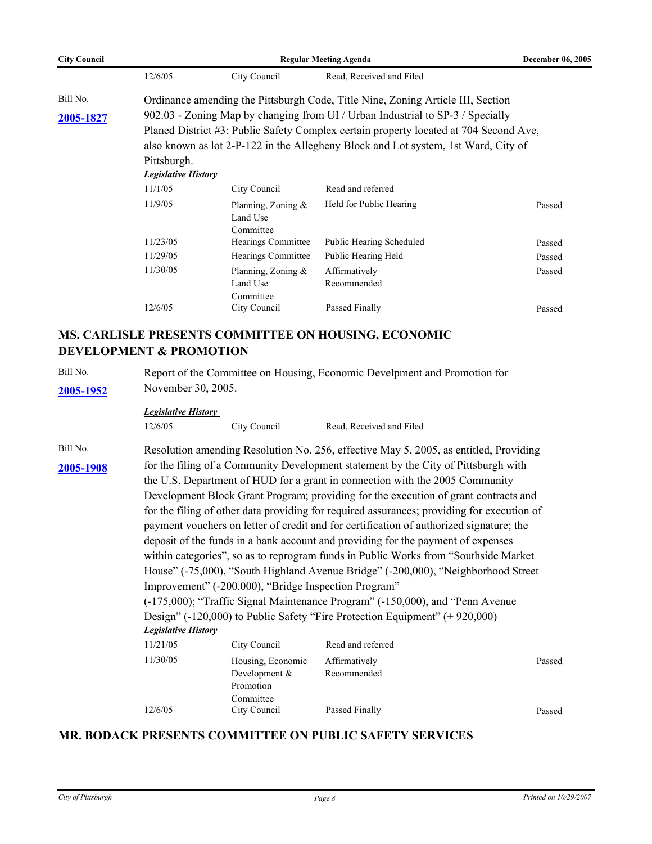| <b>City Council</b> | <b>Regular Meeting Agenda</b> |                                                |                                                                                       | <b>December 06, 2005</b> |  |
|---------------------|-------------------------------|------------------------------------------------|---------------------------------------------------------------------------------------|--------------------------|--|
|                     | 12/6/05                       | City Council                                   | Read, Received and Filed                                                              |                          |  |
| Bill No.            |                               |                                                | Ordinance amending the Pittsburgh Code, Title Nine, Zoning Article III, Section       |                          |  |
| 2005-1827           |                               |                                                | 902.03 - Zoning Map by changing from UI / Urban Industrial to SP-3 / Specially        |                          |  |
|                     |                               |                                                | Planed District #3: Public Safety Complex certain property located at 704 Second Ave, |                          |  |
|                     |                               |                                                | also known as lot 2-P-122 in the Allegheny Block and Lot system, 1st Ward, City of    |                          |  |
|                     | Pittsburgh.                   |                                                |                                                                                       |                          |  |
|                     | <b>Legislative History</b>    |                                                |                                                                                       |                          |  |
|                     | 11/1/05                       | City Council                                   | Read and referred                                                                     |                          |  |
|                     | 11/9/05                       | Planning, Zoning $\&$<br>Land Use<br>Committee | Held for Public Hearing                                                               | Passed                   |  |
|                     | 11/23/05                      | Hearings Committee                             | <b>Public Hearing Scheduled</b>                                                       | Passed                   |  |
|                     | 11/29/05                      | Hearings Committee                             | Public Hearing Held                                                                   | Passed                   |  |
|                     | 11/30/05                      | Planning, Zoning $\&$<br>Land Use<br>Committee | Affirmatively<br>Recommended                                                          | Passed                   |  |
|                     | 12/6/05                       | City Council                                   | Passed Finally                                                                        | Passed                   |  |
|                     |                               |                                                |                                                                                       |                          |  |

#### **MS. CARLISLE PRESENTS COMMITTEE ON HOUSING, ECONOMIC DEVELOPMENT & PROMOTION**

Bill No. Report of the Committee on Housing, Economic Develpment and Promotion for **[2005-1952](http://legistar.city.pittsburgh.pa.us/detailreport//matter.aspx?key=8033)** November 30, 2005.

#### *Legislative History*

| 12/6/05 | City Council |
|---------|--------------|
|         |              |

Read, Received and Filed

Bill No. Resolution amending Resolution No. 256, effective May 5, 2005, as entitled, Providing for the filing of a Community Development statement by the City of Pittsburgh with **[2005-1908](http://legistar.city.pittsburgh.pa.us/detailreport//matter.aspx?key=7987)** the U.S. Department of HUD for a grant in connection with the 2005 Community Development Block Grant Program; providing for the execution of grant contracts and for the filing of other data providing for required assurances; providing for execution of payment vouchers on letter of credit and for certification of authorized signature; the deposit of the funds in a bank account and providing for the payment of expenses within categories", so as to reprogram funds in Public Works from "Southside Market House" (-75,000), "South Highland Avenue Bridge" (-200,000), "Neighborhood Street Improvement" (-200,000), "Bridge Inspection Program" (-175,000); "Traffic Signal Maintenance Program" (-150,000), and "Penn Avenue Design" (-120,000) to Public Safety "Fire Protection Equipment" (+ 920,000) *Legislative History*  11/21/05 City Council Read and referred

| 11/21/05 | City Council      | Read and referred |        |
|----------|-------------------|-------------------|--------|
| 11/30/05 | Housing, Economic | Affirmatively     | Passed |
|          | Development $&$   | Recommended       |        |
|          | Promotion         |                   |        |
|          | Committee         |                   |        |
| 12/6/05  | City Council      | Passed Finally    | Passed |
|          |                   |                   |        |

#### **MR. BODACK PRESENTS COMMITTEE ON PUBLIC SAFETY SERVICES**